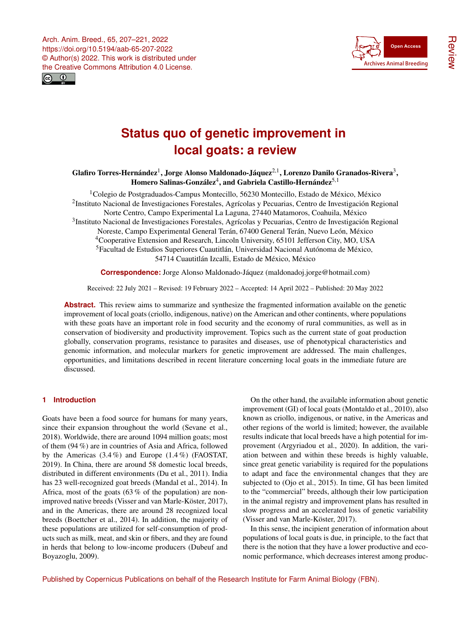



# **Status quo of genetic improvement in local goats: a review**

# Glafiro Torres-Hernández $^1$  $^1$ , Jorge Alonso Maldonado-Jáquez $^{2,1}$  $^{2,1}$  $^{2,1}$ , Lorenzo Danilo Granados-Rivera $^3,$  $^3,$  $^3,$ Homero Salinas-González $^4$  $^4$ , and Gabriela Castillo-Hernández $^{\mathsf{5}, \mathsf{1}}$

<sup>1</sup>Colegio de Postgraduados-Campus Montecillo, 56230 Montecillo, Estado de México, México <sup>2</sup>Instituto Nacional de Investigaciones Forestales, Agrícolas y Pecuarias, Centro de Investigación Regional Norte Centro, Campo Experimental La Laguna, 27440 Matamoros, Coahuila, México <sup>3</sup>Instituto Nacional de Investigaciones Forestales, Agrícolas y Pecuarias, Centro de Investigación Regional Noreste, Campo Experimental General Terán, 67400 General Terán, Nuevo León, México <sup>4</sup>Cooperative Extension and Research, Lincoln University, 65101 Jefferson City, MO, USA <sup>5</sup>Facultad de Estudios Superiores Cuautitlán, Universidad Nacional Autónoma de México, 54714 Cuautitlán Izcalli, Estado de México, México

**Correspondence:** Jorge Alonso Maldonado-Jáquez (maldonadoj.jorge@hotmail.com)

Received: 22 July 2021 – Revised: 19 February 2022 – Accepted: 14 April 2022 – Published: 20 May 2022

**Abstract.** This review aims to summarize and synthesize the fragmented information available on the genetic improvement of local goats (criollo, indigenous, native) on the American and other continents, where populations with these goats have an important role in food security and the economy of rural communities, as well as in conservation of biodiversity and productivity improvement. Topics such as the current state of goat production globally, conservation programs, resistance to parasites and diseases, use of phenotypical characteristics and genomic information, and molecular markers for genetic improvement are addressed. The main challenges, opportunities, and limitations described in recent literature concerning local goats in the immediate future are discussed.

# <span id="page-0-0"></span>**1 Introduction**

Goats have been a food source for humans for many years, since their expansion throughout the world (Sevane et al., 2018). Worldwide, there are around 1094 million goats; most of them (94 %) are in countries of Asia and Africa, followed by the Americas  $(3.4\%)$  and Europe  $(1.4\%)$  (FAOSTAT, 2019). In China, there are around 58 domestic local breeds, distributed in different environments (Du et al., 2011). India has 23 well-recognized goat breeds (Mandal et al., 2014). In Africa, most of the goats (63 % of the population) are nonimproved native breeds (Visser and van Marle-Köster, 2017), and in the Americas, there are around 28 recognized local breeds (Boettcher et al., 2014). In addition, the majority of these populations are utilized for self-consumption of products such as milk, meat, and skin or fibers, and they are found in herds that belong to low-income producers (Dubeuf and Boyazoglu, 2009).

On the other hand, the available information about genetic improvement (GI) of local goats (Montaldo et al., 2010), also known as criollo, indigenous, or native, in the Americas and other regions of the world is limited; however, the available results indicate that local breeds have a high potential for improvement (Argyriadou et al., 2020). In addition, the variation between and within these breeds is highly valuable, since great genetic variability is required for the populations to adapt and face the environmental changes that they are subjected to (Ojo et al., 2015). In time, GI has been limited to the "commercial" breeds, although their low participation in the animal registry and improvement plans has resulted in slow progress and an accelerated loss of genetic variability (Visser and van Marle-Köster, 2017).

In this sense, the incipient generation of information about populations of local goats is due, in principle, to the fact that there is the notion that they have a lower productive and economic performance, which decreases interest among produc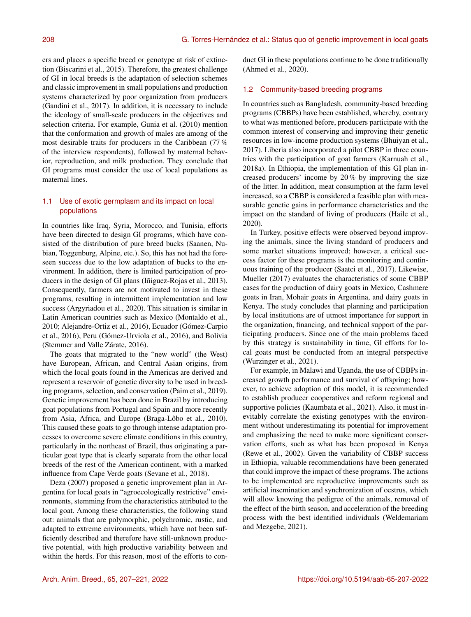ers and places a specific breed or genotype at risk of extinction (Biscarini et al., 2015). Therefore, the greatest challenge of GI in local breeds is the adaptation of selection schemes and classic improvement in small populations and production systems characterized by poor organization from producers (Gandini et al., 2017). In addition, it is necessary to include the ideology of small-scale producers in the objectives and selection criteria. For example, Gunia et al. (2010) mention that the conformation and growth of males are among of the most desirable traits for producers in the Caribbean (77 % of the interview respondents), followed by maternal behavior, reproduction, and milk production. They conclude that GI programs must consider the use of local populations as maternal lines.

# 1.1 Use of exotic germplasm and its impact on local populations

In countries like Iraq, Syria, Morocco, and Tunisia, efforts have been directed to design GI programs, which have consisted of the distribution of pure breed bucks (Saanen, Nubian, Toggenburg, Alpine, etc.). So, this has not had the foreseen success due to the low adaptation of bucks to the environment. In addition, there is limited participation of producers in the design of GI plans (Iñiguez-Rojas et al., 2013). Consequently, farmers are not motivated to invest in these programs, resulting in intermittent implementation and low success (Argyriadou et al., 2020). This situation is similar in Latin American countries such as Mexico (Montaldo et al., 2010; Alejandre-Ortiz et al., 2016), Ecuador (Gómez-Carpio et al., 2016), Peru (Gómez-Urviola et al., 2016), and Bolivia (Stemmer and Valle Zárate, 2016).

The goats that migrated to the "new world" (the West) have European, African, and Central Asian origins, from which the local goats found in the Americas are derived and represent a reservoir of genetic diversity to be used in breeding programs, selection, and conservation (Paim et al., 2019). Genetic improvement has been done in Brazil by introducing goat populations from Portugal and Spain and more recently from Asia, Africa, and Europe (Braga-Lôbo et al., 2010). This caused these goats to go through intense adaptation processes to overcome severe climate conditions in this country, particularly in the northeast of Brazil, thus originating a particular goat type that is clearly separate from the other local breeds of the rest of the American continent, with a marked influence from Cape Verde goats (Sevane et al., 2018).

Deza (2007) proposed a genetic improvement plan in Argentina for local goats in "agroecologically restrictive" environments, stemming from the characteristics attributed to the local goat. Among these characteristics, the following stand out: animals that are polymorphic, polychromic, rustic, and adapted to extreme environments, which have not been sufficiently described and therefore have still-unknown productive potential, with high productive variability between and within the herds. For this reason, most of the efforts to conduct GI in these populations continue to be done traditionally (Ahmed et al., 2020).

## 1.2 Community-based breeding programs

In countries such as Bangladesh, community-based breeding programs (CBBPs) have been established, whereby, contrary to what was mentioned before, producers participate with the common interest of conserving and improving their genetic resources in low-income production systems (Bhuiyan et al., 2017). Liberia also incorporated a pilot CBBP in three countries with the participation of goat farmers (Karnuah et al., 2018a). In Ethiopia, the implementation of this GI plan increased producers' income by 20 % by improving the size of the litter. In addition, meat consumption at the farm level increased, so a CBBP is considered a feasible plan with measurable genetic gains in performance characteristics and the impact on the standard of living of producers (Haile et al., 2020).

In Turkey, positive effects were observed beyond improving the animals, since the living standard of producers and some market situations improved; however, a critical success factor for these programs is the monitoring and continuous training of the producer (Saatci et al., 2017). Likewise, Mueller (2017) evaluates the characteristics of some CBBP cases for the production of dairy goats in Mexico, Cashmere goats in Iran, Mohair goats in Argentina, and dairy goats in Kenya. The study concludes that planning and participation by local institutions are of utmost importance for support in the organization, financing, and technical support of the participating producers. Since one of the main problems faced by this strategy is sustainability in time, GI efforts for local goats must be conducted from an integral perspective (Wurzinger et al., 2021).

For example, in Malawi and Uganda, the use of CBBPs increased growth performance and survival of offspring; however, to achieve adoption of this model, it is recommended to establish producer cooperatives and reform regional and supportive policies (Kaumbata et al., 2021). Also, it must inevitably correlate the existing genotypes with the environment without underestimating its potential for improvement and emphasizing the need to make more significant conservation efforts, such as what has been proposed in Kenya (Rewe et al., 2002). Given the variability of CBBP success in Ethiopia, valuable recommendations have been generated that could improve the impact of these programs. The actions to be implemented are reproductive improvements such as artificial insemination and synchronization of oestrus, which will allow knowing the pedigree of the animals, removal of the effect of the birth season, and acceleration of the breeding process with the best identified individuals (Weldemariam and Mezgebe, 2021).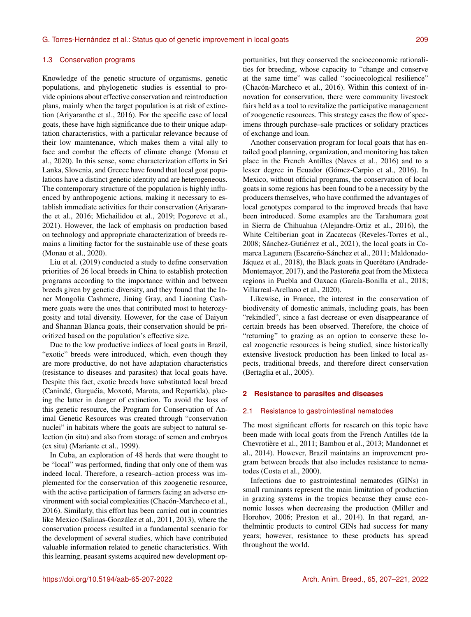#### 1.3 Conservation programs

Knowledge of the genetic structure of organisms, genetic populations, and phylogenetic studies is essential to provide opinions about effective conservation and reintroduction plans, mainly when the target population is at risk of extinction (Ariyaranthe et al., 2016). For the specific case of local goats, these have high significance due to their unique adaptation characteristics, with a particular relevance because of their low maintenance, which makes them a vital ally to face and combat the effects of climate change (Monau et al., 2020). In this sense, some characterization efforts in Sri Lanka, Slovenia, and Greece have found that local goat populations have a distinct genetic identity and are heterogeneous. The contemporary structure of the population is highly influenced by anthropogenic actions, making it necessary to establish immediate activities for their conservation (Ariyaranthe et al., 2016; Michailidou et al., 2019; Pogorevc et al., 2021). However, the lack of emphasis on production based on technology and appropriate characterization of breeds remains a limiting factor for the sustainable use of these goats (Monau et al., 2020).

Liu et al. (2019) conducted a study to define conservation priorities of 26 local breeds in China to establish protection programs according to the importance within and between breeds given by genetic diversity, and they found that the Inner Mongolia Cashmere, Jining Gray, and Liaoning Cashmere goats were the ones that contributed most to heterozygosity and total diversity. However, for the case of Daiyun and Shannan Blanca goats, their conservation should be prioritized based on the population's effective size.

Due to the low productive indices of local goats in Brazil, "exotic" breeds were introduced, which, even though they are more productive, do not have adaptation characteristics (resistance to diseases and parasites) that local goats have. Despite this fact, exotic breeds have substituted local breed (Canindé, Gurguéia, Moxotó, Marota, and Repartida), placing the latter in danger of extinction. To avoid the loss of this genetic resource, the Program for Conservation of Animal Genetic Resources was created through "conservation nuclei" in habitats where the goats are subject to natural selection (in situ) and also from storage of semen and embryos (ex situ) (Mariante et al., 1999).

In Cuba, an exploration of 48 herds that were thought to be "local" was performed, finding that only one of them was indeed local. Therefore, a research–action process was implemented for the conservation of this zoogenetic resource, with the active participation of farmers facing an adverse environment with social complexities (Chacón-Marcheco et al., 2016). Similarly, this effort has been carried out in countries like Mexico (Salinas-González et al., 2011, 2013), where the conservation process resulted in a fundamental scenario for the development of several studies, which have contributed valuable information related to genetic characteristics. With this learning, peasant systems acquired new development opportunities, but they conserved the socioeconomic rationalities for breeding, whose capacity to "change and conserve at the same time" was called "socioecological resilience" (Chacón-Marcheco et al., 2016). Within this context of innovation for conservation, there were community livestock fairs held as a tool to revitalize the participative management of zoogenetic resources. This strategy eases the flow of specimens through purchase–sale practices or solidary practices of exchange and loan.

Another conservation program for local goats that has entailed good planning, organization, and monitoring has taken place in the French Antilles (Naves et al., 2016) and to a lesser degree in Ecuador (Gómez-Carpio et al., 2016). In Mexico, without official programs, the conservation of local goats in some regions has been found to be a necessity by the producers themselves, who have confirmed the advantages of local genotypes compared to the improved breeds that have been introduced. Some examples are the Tarahumara goat in Sierra de Chihuahua (Alejandre-Ortiz et al., 2016), the White Celtiberian goat in Zacatecas (Reveles-Torres et al., 2008; Sánchez-Gutiérrez et al., 2021), the local goats in Comarca Lagunera (Escareño-Sánchez et al., 2011; Maldonado-Jáquez et al., 2018), the Black goats in Querétaro (Andrade-Montemayor, 2017), and the Pastoreña goat from the Mixteca regions in Puebla and Oaxaca (García-Bonilla et al., 2018; Villarreal-Arellano et al., 2020).

Likewise, in France, the interest in the conservation of biodiversity of domestic animals, including goats, has been "rekindled", since a fast decrease or even disappearance of certain breeds has been observed. Therefore, the choice of "returning" to grazing as an option to conserve these local zoogenetic resources is being studied, since historically extensive livestock production has been linked to local aspects, traditional breeds, and therefore direct conservation (Bertaglia et al., 2005).

## **2 Resistance to parasites and diseases**

#### 2.1 Resistance to gastrointestinal nematodes

The most significant efforts for research on this topic have been made with local goats from the French Antilles (de la Chevrotière et al., 2011; Bambou et al., 2013; Mandonnet et al., 2014). However, Brazil maintains an improvement program between breeds that also includes resistance to nematodes (Costa et al., 2000).

Infections due to gastrointestinal nematodes (GINs) in small ruminants represent the main limitation of production in grazing systems in the tropics because they cause economic losses when decreasing the production (Miller and Horohov, 2006; Preston et al., 2014). In that regard, anthelmintic products to control GINs had success for many years; however, resistance to these products has spread throughout the world.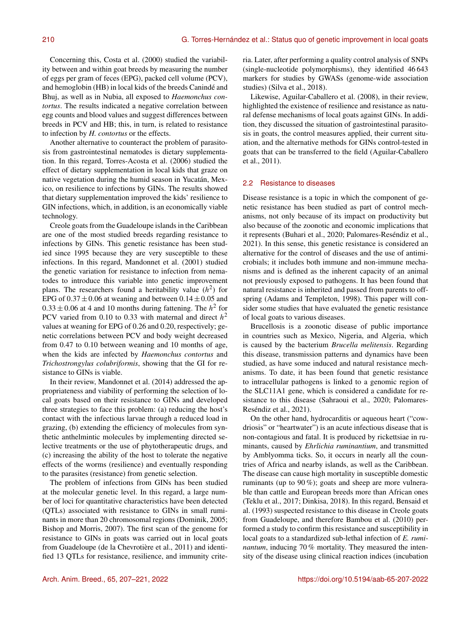Concerning this, Costa et al. (2000) studied the variability between and within goat breeds by measuring the number of eggs per gram of feces (EPG), packed cell volume (PCV), and hemoglobin (HB) in local kids of the breeds Canindé and Bhuj, as well as in Nubia, all exposed to *Haemonchus contortus*. The results indicated a negative correlation between egg counts and blood values and suggest differences between breeds in PCV and HB; this, in turn, is related to resistance to infection by *H. contortus* or the effects.

Another alternative to counteract the problem of parasitosis from gastrointestinal nematodes is dietary supplementation. In this regard, Torres-Acosta et al. (2006) studied the effect of dietary supplementation in local kids that graze on native vegetation during the humid season in Yucatán, Mexico, on resilience to infections by GINs. The results showed that dietary supplementation improved the kids' resilience to GIN infections, which, in addition, is an economically viable technology.

Creole goats from the Guadeloupe islands in the Caribbean are one of the most studied breeds regarding resistance to infections by GINs. This genetic resistance has been studied since 1995 because they are very susceptible to these infections. In this regard, Mandonnet et al. (2001) studied the genetic variation for resistance to infection from nematodes to introduce this variable into genetic improvement plans. The researchers found a heritability value  $(h^2)$  for EPG of  $0.37 \pm 0.06$  at weaning and between  $0.14 \pm 0.05$  and  $0.33 \pm 0.06$  at 4 and 10 months during fattening. The  $h^2$  for PCV varied from 0.10 to 0.33 with maternal and direct  $h^2$ values at weaning for EPG of 0.26 and 0.20, respectively; genetic correlations between PCV and body weight decreased from 0.47 to 0.10 between weaning and 10 months of age, when the kids are infected by *Haemonchus contortus* and *Trichostrongylus colubriformis*, showing that the GI for resistance to GINs is viable.

In their review, Mandonnet et al. (2014) addressed the appropriateness and viability of performing the selection of local goats based on their resistance to GINs and developed three strategies to face this problem: (a) reducing the host's contact with the infectious larvae through a reduced load in grazing, (b) extending the efficiency of molecules from synthetic anthelmintic molecules by implementing directed selective treatments or the use of phytotherapeutic drugs, and (c) increasing the ability of the host to tolerate the negative effects of the worms (resilience) and eventually responding to the parasites (resistance) from genetic selection.

The problem of infections from GINs has been studied at the molecular genetic level. In this regard, a large number of loci for quantitative characteristics have been detected (QTLs) associated with resistance to GINs in small ruminants in more than 20 chromosomal regions (Dominik, 2005; Bishop and Morris, 2007). The first scan of the genome for resistance to GINs in goats was carried out in local goats from Guadeloupe (de la Chevrotière et al., 2011) and identified 13 QTLs for resistance, resilience, and immunity criteria. Later, after performing a quality control analysis of SNPs (single-nucleotide polymorphisms), they identified 46 643 markers for studies by GWASs (genome-wide association studies) (Silva et al., 2018).

Likewise, Aguilar-Caballero et al. (2008), in their review, highlighted the existence of resilience and resistance as natural defense mechanisms of local goats against GINs. In addition, they discussed the situation of gastrointestinal parasitosis in goats, the control measures applied, their current situation, and the alternative methods for GINs control-tested in goats that can be transferred to the field (Aguilar-Caballero et al., 2011).

#### 2.2 Resistance to diseases

Disease resistance is a topic in which the component of genetic resistance has been studied as part of control mechanisms, not only because of its impact on productivity but also because of the zoonotic and economic implications that it represents (Buhari et al., 2020; Palomares-Reséndiz et al., 2021). In this sense, this genetic resistance is considered an alternative for the control of diseases and the use of antimicrobials; it includes both immune and non-immune mechanisms and is defined as the inherent capacity of an animal not previously exposed to pathogens. It has been found that natural resistance is inherited and passed from parents to offspring (Adams and Templeton, 1998). This paper will consider some studies that have evaluated the genetic resistance of local goats to various diseases.

Brucellosis is a zoonotic disease of public importance in countries such as Mexico, Nigeria, and Algeria, which is caused by the bacterium *Brucella melitensis*. Regarding this disease, transmission patterns and dynamics have been studied, as have some induced and natural resistance mechanisms. To date, it has been found that genetic resistance to intracellular pathogens is linked to a genomic region of the SLC11A1 gene, which is considered a candidate for resistance to this disease (Sahraoui et al., 2020; Palomares-Reséndiz et al., 2021).

On the other hand, hydrocarditis or aqueous heart ("cowdriosis" or "heartwater") is an acute infectious disease that is non-contagious and fatal. It is produced by rickettsiae in ruminants, caused by *Ehrlichia ruminantium*, and transmitted by Amblyomma ticks. So, it occurs in nearly all the countries of Africa and nearby islands, as well as the Caribbean. The disease can cause high mortality in susceptible domestic ruminants (up to 90 %); goats and sheep are more vulnerable than cattle and European breeds more than African ones (Teklu et al., 2017; Dinkisa, 2018). In this regard, Bensaid et al. (1993) suspected resistance to this disease in Creole goats from Guadeloupe, and therefore Bambou et al. (2010) performed a study to confirm this resistance and susceptibility in local goats to a standardized sub-lethal infection of *E. ruminantum*, inducing 70 % mortality. They measured the intensity of the disease using clinical reaction indices (incubation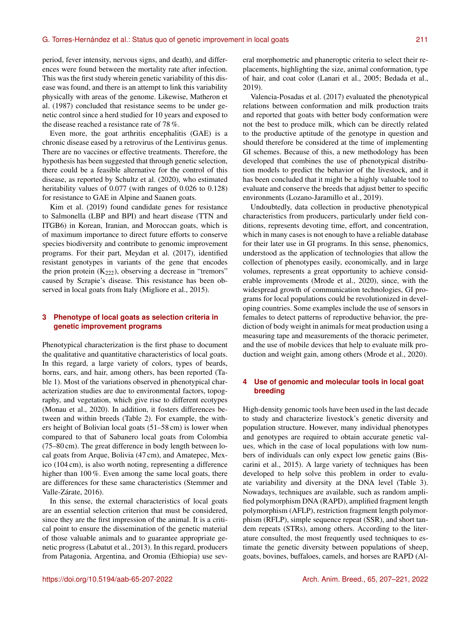period, fever intensity, nervous signs, and death), and differences were found between the mortality rate after infection. This was the first study wherein genetic variability of this disease was found, and there is an attempt to link this variability physically with areas of the genome. Likewise, Matheron et al. (1987) concluded that resistance seems to be under genetic control since a herd studied for 10 years and exposed to the disease reached a resistance rate of 78 %.

Even more, the goat arthritis encephalitis (GAE) is a chronic disease eased by a retrovirus of the Lentivirus genus. There are no vaccines or effective treatments. Therefore, the hypothesis has been suggested that through genetic selection, there could be a feasible alternative for the control of this disease, as reported by Schultz et al. (2020), who estimated heritability values of 0.077 (with ranges of 0.026 to 0.128) for resistance to GAE in Alpine and Saanen goats.

Kim et al. (2019) found candidate genes for resistance to Salmonella (LBP and BPI) and heart disease (TTN and ITGB6) in Korean, Iranian, and Moroccan goats, which is of maximum importance to direct future efforts to conserve species biodiversity and contribute to genomic improvement programs. For their part, Meydan et al. (2017), identified resistant genotypes in variants of the gene that encodes the prion protein  $(K_{222})$ , observing a decrease in "tremors" caused by Scrapie's disease. This resistance has been observed in local goats from Italy (Migliore et al., 2015).

## **3 Phenotype of local goats as selection criteria in genetic improvement programs**

Phenotypical characterization is the first phase to document the qualitative and quantitative characteristics of local goats. In this regard, a large variety of colors, types of beards, horns, ears, and hair, among others, has been reported (Table 1). Most of the variations observed in phenotypical characterization studies are due to environmental factors, topography, and vegetation, which give rise to different ecotypes (Monau et al., 2020). In addition, it fosters differences between and within breeds (Table 2). For example, the withers height of Bolivian local goats (51–58 cm) is lower when compared to that of Sabanero local goats from Colombia (75–80 cm). The great difference in body length between local goats from Arque, Bolivia (47 cm), and Amatepec, Mexico (104 cm), is also worth noting, representing a difference higher than 100%. Even among the same local goats, there are differences for these same characteristics (Stemmer and Valle-Zárate, 2016).

In this sense, the external characteristics of local goats are an essential selection criterion that must be considered, since they are the first impression of the animal. It is a critical point to ensure the dissemination of the genetic material of those valuable animals and to guarantee appropriate genetic progress (Labatut et al., 2013). In this regard, producers from Patagonia, Argentina, and Oromia (Ethiopia) use several morphometric and phaneroptic criteria to select their replacements, highlighting the size, animal conformation, type of hair, and coat color (Lanari et al., 2005; Bedada et al., 2019).

Valencia-Posadas et al. (2017) evaluated the phenotypical relations between conformation and milk production traits and reported that goats with better body conformation were not the best to produce milk, which can be directly related to the productive aptitude of the genotype in question and should therefore be considered at the time of implementing GI schemes. Because of this, a new methodology has been developed that combines the use of phenotypical distribution models to predict the behavior of the livestock, and it has been concluded that it might be a highly valuable tool to evaluate and conserve the breeds that adjust better to specific environments (Lozano-Jaramillo et al., 2019).

Undoubtedly, data collection in productive phenotypical characteristics from producers, particularly under field conditions, represents devoting time, effort, and concentration, which in many cases is not enough to have a reliable database for their later use in GI programs. In this sense, phenomics, understood as the application of technologies that allow the collection of phenotypes easily, economically, and in large volumes, represents a great opportunity to achieve considerable improvements (Mrode et al., 2020), since, with the widespread growth of communication technologies, GI programs for local populations could be revolutionized in developing countries. Some examples include the use of sensors in females to detect patterns of reproductive behavior, the prediction of body weight in animals for meat production using a measuring tape and measurements of the thoracic perimeter, and the use of mobile devices that help to evaluate milk production and weight gain, among others (Mrode et al., 2020).

## **4 Use of genomic and molecular tools in local goat breeding**

High-density genomic tools have been used in the last decade to study and characterize livestock's genetic diversity and population structure. However, many individual phenotypes and genotypes are required to obtain accurate genetic values, which in the case of local populations with low numbers of individuals can only expect low genetic gains (Biscarini et al., 2015). A large variety of techniques has been developed to help solve this problem in order to evaluate variability and diversity at the DNA level (Table 3). Nowadays, techniques are available, such as random amplified polymorphism DNA (RAPD), amplified fragment length polymorphism (AFLP), restriction fragment length polymorphism (RFLP), simple sequence repeat (SSR), and short tandem repeats (STRs), among others. According to the literature consulted, the most frequently used techniques to estimate the genetic diversity between populations of sheep, goats, bovines, buffaloes, camels, and horses are RAPD (Al-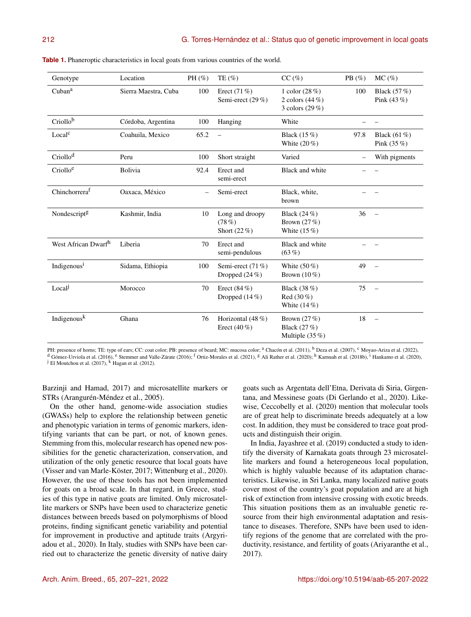| Genotype                  | Location             | PH $(\%)$ | TE $(\% )$                                 | $CC \, (\%)$                                             | PB $(\%)$ | $MC(\%)$                        |
|---------------------------|----------------------|-----------|--------------------------------------------|----------------------------------------------------------|-----------|---------------------------------|
| Cuban <sup>a</sup>        | Sierra Maestra, Cuba | 100       | Erect $(71\%)$<br>Semi-erect (29 %)        | 1 color $(28%)$<br>2 colors $(44\%)$<br>3 colors $(29%)$ | 100       | Black $(57%)$<br>Pink $(43\%)$  |
| Criollob                  | Córdoba, Argentina   | 100       | Hanging                                    | White                                                    |           |                                 |
| Local <sup>c</sup>        | Coahuila, Mexico     | 65.2      | $\overline{\phantom{0}}$                   | Black (15 %)<br>White $(20\%)$                           | 97.8      | Black $(61\%)$<br>Pink $(35\%)$ |
| Criollo <sup>d</sup>      | Peru                 | 100       | Short straight                             | Varied                                                   |           | With pigments                   |
| Criolloe                  | Bolivia              | 92.4      | Erect and<br>semi-erect                    | Black and white                                          |           |                                 |
| Chinchorrera <sup>f</sup> | Oaxaca, México       |           | Semi-erect                                 | Black, white,<br>brown                                   |           |                                 |
| Nondescript <sup>g</sup>  | Kashmir, India       | 10        | Long and droopy<br>(78%)<br>Short $(22\%)$ | Black (24 %)<br>Brown $(27%)$<br>White $(15\%)$          | 36        | $\equiv$                        |
| West African Dwarfh       | Liberia              | 70        | Erect and<br>semi-pendulous                | Black and white<br>$(63\%)$                              |           |                                 |
| Indigenous <sup>i</sup>   | Sidama, Ethiopia     | 100       | Semi-erect (71 %)<br>Dropped $(24\%)$      | White $(50\%)$<br>Brown $(10\%)$                         | 49        |                                 |
| Local                     | Morocco              | 70        | Erect $(84\%)$<br>Dropped $(14\%)$         | Black (38 %)<br>Red $(30\%)$<br>White $(14\%)$           | 75        | $\equiv$                        |
| Indigenousk               | Ghana                | 76        | Horizontal (48 %)<br>Erect $(40\%)$        | Brown $(27%)$<br>Black (27 %)<br>Multiple $(35%)$        | 18        | $\equiv$                        |

**Table 1.** Phaneroptic characteristics in local goats from various countries of the world.

PH: presence of horns; TE: type of ears; CC: coat color; PB: presence of beard; MC: mucosa color; <sup>a</sup> Chacón et al. (2011), <sup>b</sup> Deza et al. (2007), <sup>c</sup> Moyao-Ariza et al. (2022), d Gómez-Urviola et al. (2016), <sup>e</sup> Stemmer and Valle-Zárate (2016); <sup>f</sup> Ortiz-Morales et al. (2021), <sup>g</sup> Ali Rather et al. (2020); <sup>h</sup> Karnuah et al. (2018b), <sup>i</sup> Hankamo et al. (2020),

<sup>j</sup> El Moutchou et al. (2017), <sup>k</sup> Hagan et al. (2012).

Barzinji and Hamad, 2017) and microsatellite markers or STRs (Arangurén-Méndez et al., 2005).

On the other hand, genome-wide association studies (GWASs) help to explore the relationship between genetic and phenotypic variation in terms of genomic markers, identifying variants that can be part, or not, of known genes. Stemming from this, molecular research has opened new possibilities for the genetic characterization, conservation, and utilization of the only genetic resource that local goats have (Visser and van Marle-Köster, 2017; Wittenburg et al., 2020). However, the use of these tools has not been implemented for goats on a broad scale. In that regard, in Greece, studies of this type in native goats are limited. Only microsatellite markers or SNPs have been used to characterize genetic distances between breeds based on polymorphisms of blood proteins, finding significant genetic variability and potential for improvement in productive and aptitude traits (Argyriadou et al., 2020). In Italy, studies with SNPs have been carried out to characterize the genetic diversity of native dairy

goats such as Argentata dell'Etna, Derivata di Siria, Girgentana, and Messinese goats (Di Gerlando et al., 2020). Likewise, Ceccobelly et al. (2020) mention that molecular tools are of great help to discriminate breeds adequately at a low cost. In addition, they must be considered to trace goat products and distinguish their origin.

In India, Jayashree et al. (2019) conducted a study to identify the diversity of Karnakata goats through 23 microsatellite markers and found a heterogeneous local population, which is highly valuable because of its adaptation characteristics. Likewise, in Sri Lanka, many localized native goats cover most of the country's goat population and are at high risk of extinction from intensive crossing with exotic breeds. This situation positions them as an invaluable genetic resource from their high environmental adaptation and resistance to diseases. Therefore, SNPs have been used to identify regions of the genome that are correlated with the productivity, resistance, and fertility of goats (Ariyaranthe et al., 2017).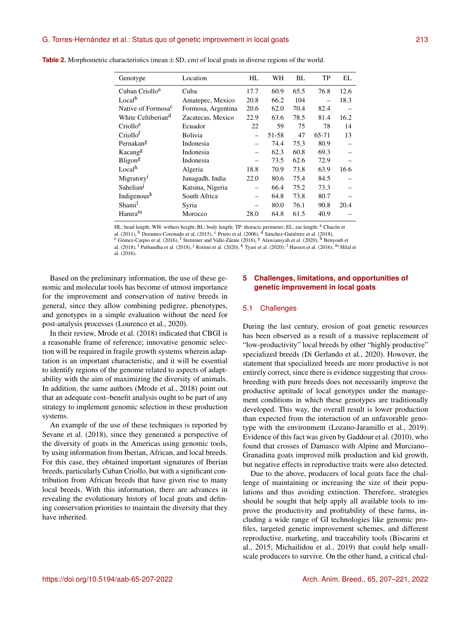| Genotype                       | Location           | HL   | WН    | BL   | TP    | EL   |
|--------------------------------|--------------------|------|-------|------|-------|------|
| Cuban Criollo <sup>a</sup>     | Cuba               | 17.7 | 60.9  | 65.5 | 76.8  | 12.6 |
| Local <sup>b</sup>             | Amatepec, Mexico   | 20.8 | 66.2  | 104  |       | 18.3 |
| Native of Formosa <sup>c</sup> | Formosa, Argentina | 20.6 | 62.0  | 70.4 | 82.4  |      |
| White Celtiberian <sup>d</sup> | Zacatecas, Mexico  | 22.9 | 63.6  | 78.5 | 81.4  | 16.2 |
| Criollo <sup>e</sup>           | Ecuador            | 22   | 59    | 75   | 78    | 14   |
| Criollo <sup>t</sup>           | <b>Bolivia</b>     |      | 51-58 | 47   | 65-71 | 13   |
| Pernakang                      | Indonesia          |      | 74.4  | 75.3 | 80.9  |      |
| Kacangg                        | Indonesia          |      | 62.3  | 60.8 | 69.3  |      |
| Bligon <sup>g</sup>            | Indonesia          |      | 73.5  | 62.6 | 72.9  |      |
| Local <sup>h</sup>             | Algeria            | 18.8 | 70.9  | 73.8 | 63.9  | 16.6 |
| Migratory <sup>1</sup>         | Junagadh, India    | 22.0 | 80.6  | 75.4 | 84.5  |      |
| Sahelian                       | Katsina, Nigeria   |      | 66.4  | 75.2 | 73.3  |      |
| Indigenousk                    | South Africa       |      | 64.8  | 73.8 | 80.7  |      |
| Shami                          | Syria              |      | 80.0  | 76.1 | 90.8  | 20.4 |
| Hamra <sup>m</sup>             | Morocco            | 28.0 | 64.8  | 61.5 | 40.9  |      |
|                                |                    |      |       |      |       |      |

**Table 2.** Morphometric characteristics (mean  $\pm$  SD, cm) of local goats in diverse regions of the world.

HL: head length; WH: withers height; BL: body length; TP: thoracic perimeter; EL: ear length; a Chacón et

al. (2011), <sup>b</sup> Dorantes-Coronado et al. (2015), <sup>c</sup> Prieto et al. (2006), <sup>d</sup> Sánchez-Gutiérrez et al. (2018),

e Gómez-Carpio et al. (2016), <sup>f</sup> Stemmer and Valle-Zárate (2016), <sup>g</sup> Alawiansyah et al. (2020), <sup>h</sup> Benyoub et

al. (2018), <sup>i</sup> Patbandha et al. (2018), <sup>j</sup> Rotimi et al. (2020), <sup>k</sup> Tyasi et al. (2020); <sup>l</sup> Hassen et al. (2016), <sup>m</sup> Hilal et al. (2016).

Based on the preliminary information, the use of these genomic and molecular tools has become of utmost importance for the improvement and conservation of native breeds in general, since they allow combining pedigree, phenotypes, and genotypes in a simple evaluation without the need for post-analysis processes (Lourenco et al., 2020).

In their review, Mrode et al. (2018) indicated that CBGI is a reasonable frame of reference; innovative genomic selection will be required in fragile growth systems wherein adaptation is an important characteristic, and it will be essential to identify regions of the genome related to aspects of adaptability with the aim of maximizing the diversity of animals. In addition, the same authors (Mrode et al., 2018) point out that an adequate cost–benefit analysis ought to be part of any strategy to implement genomic selection in these production systems.

An example of the use of these techniques is reported by Sevane et al. (2018), since they generated a perspective of the diversity of goats in the Americas using genomic tools, by using information from Iberian, African, and local breeds. For this case, they obtained important signatures of Iberian breeds, particularly Cuban Criollo, but with a significant contribution from African breeds that have given rise to many local breeds. With this information, there are advances in revealing the evolutionary history of local goats and defining conservation priorities to maintain the diversity that they have inherited.

## **5 Challenges, limitations, and opportunities of genetic improvement in local goats**

#### 5.1 Challenges

During the last century, erosion of goat genetic resources has been observed as a result of a massive replacement of "low-productivity" local breeds by other "highly productive" specialized breeds (Di Gerlando et al., 2020). However, the statement that specialized breeds are more productive is not entirely correct, since there is evidence suggesting that crossbreeding with pure breeds does not necessarily improve the productive aptitude of local genotypes under the management conditions in which these genotypes are traditionally developed. This way, the overall result is lower production than expected from the interaction of an unfavorable genotype with the environment (Lozano-Jaramillo et al., 2019). Evidence of this fact was given by Gaddour et al. (2010), who found that crosses of Damasco with Alpine and Murciano– Granadina goats improved milk production and kid growth, but negative effects in reproductive traits were also detected.

Due to the above, producers of local goats face the challenge of maintaining or increasing the size of their populations and thus avoiding extinction. Therefore, strategies should be sought that help apply all available tools to improve the productivity and profitability of these farms, including a wide range of GI technologies like genomic profiles, targeted genetic improvement schemes, and different reproductive, marketing, and traceability tools (Biscarini et al., 2015; Michailidou et al., 2019) that could help smallscale producers to survive. On the other hand, a critical chal-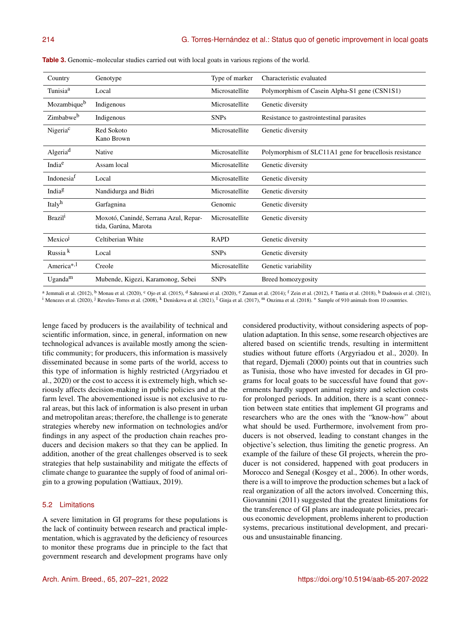| Country                 | Genotype                                                      | Type of marker | Characteristic evaluated                                |
|-------------------------|---------------------------------------------------------------|----------------|---------------------------------------------------------|
| Tunisia <sup>a</sup>    | Local                                                         | Microsatellite | Polymorphism of Casein Alpha-S1 gene (CSN1S1)           |
| Mozambique <sup>b</sup> | Indigenous                                                    | Microsatellite | Genetic diversity                                       |
| Zimbabweb               | Indigenous                                                    | <b>SNPs</b>    | Resistance to gastrointestinal parasites                |
| Nigeria <sup>c</sup>    | Red Sokoto<br>Kano Brown                                      | Microsatellite | Genetic diversity                                       |
| Algeria <sup>d</sup>    | Native                                                        | Microsatellite | Polymorphism of SLC11A1 gene for brucellosis resistance |
| India <sup>e</sup>      | Assam local                                                   | Microsatellite | Genetic diversity                                       |
| Indonesia <sup>t</sup>  | Local                                                         | Microsatellite | Genetic diversity                                       |
| India <sup>g</sup>      | Nandidurga and Bidri                                          | Microsatellite | Genetic diversity                                       |
| Italyh                  | Garfagnina                                                    | Genomic        | Genetic diversity                                       |
| Brazil <sup>1</sup>     | Moxotó, Canindé, Serrana Azul, Repar-<br>tida, Garúna, Marota | Microsatellite | Genetic diversity                                       |
| Mexicol                 | Celtiberian White                                             | <b>RAPD</b>    | Genetic diversity                                       |
| Russia <sup>k</sup>     | Local                                                         | <b>SNPs</b>    | Genetic diversity                                       |
| America <sup>*,1</sup>  | Creole                                                        | Microsatellite | Genetic variability                                     |
| $U$ ganda <sup>m</sup>  | Mubende, Kigezi, Karamonog, Sebei                             | <b>SNPs</b>    | Breed homozygosity                                      |

**Table 3.** Genomic–molecular studies carried out with local goats in various regions of the world.

<sup>a</sup> Jemmali et al. (2012), <sup>b</sup> Monau et al. (2020), <sup>c</sup> Ojo et al. (2015), <sup>d</sup> Sahraoui et al. (2020), <sup>e</sup> Zaman et al. (2014); <sup>f</sup> Zein et al. (2012), <sup>g</sup> Tantia et al. (2018), <sup>h</sup> Dadousis et al. (2021), <sup>i</sup> Menezes et al. (2020), <sup>j</sup> Reveles-Torres et al. (2008), <sup>k</sup> Deniskova et al. (2021), <sup>1</sup> Ginja et al. (2017), <sup>m</sup> Onzima et al. (2018). \* Sample of 910 animals from 10 countries.

lenge faced by producers is the availability of technical and scientific information, since, in general, information on new technological advances is available mostly among the scientific community; for producers, this information is massively disseminated because in some parts of the world, access to this type of information is highly restricted (Argyriadou et al., 2020) or the cost to access it is extremely high, which seriously affects decision-making in public policies and at the farm level. The abovementioned issue is not exclusive to rural areas, but this lack of information is also present in urban and metropolitan areas; therefore, the challenge is to generate strategies whereby new information on technologies and/or findings in any aspect of the production chain reaches producers and decision makers so that they can be applied. In addition, another of the great challenges observed is to seek strategies that help sustainability and mitigate the effects of climate change to guarantee the supply of food of animal origin to a growing population (Wattiaux, 2019).

## 5.2 Limitations

A severe limitation in GI programs for these populations is the lack of continuity between research and practical implementation, which is aggravated by the deficiency of resources to monitor these programs due in principle to the fact that government research and development programs have only considered productivity, without considering aspects of population adaptation. In this sense, some research objectives are altered based on scientific trends, resulting in intermittent studies without future efforts (Argyriadou et al., 2020). In that regard, Djemali (2000) points out that in countries such as Tunisia, those who have invested for decades in GI programs for local goats to be successful have found that governments hardly support animal registry and selection costs for prolonged periods. In addition, there is a scant connection between state entities that implement GI programs and researchers who are the ones with the "know-how" about what should be used. Furthermore, involvement from producers is not observed, leading to constant changes in the objective's selection, thus limiting the genetic progress. An example of the failure of these GI projects, wherein the producer is not considered, happened with goat producers in Morocco and Senegal (Kosgey et al., 2006). In other words, there is a will to improve the production schemes but a lack of real organization of all the actors involved. Concerning this, Giovannini (2011) suggested that the greatest limitations for the transference of GI plans are inadequate policies, precarious economic development, problems inherent to production systems, precarious institutional development, and precarious and unsustainable financing.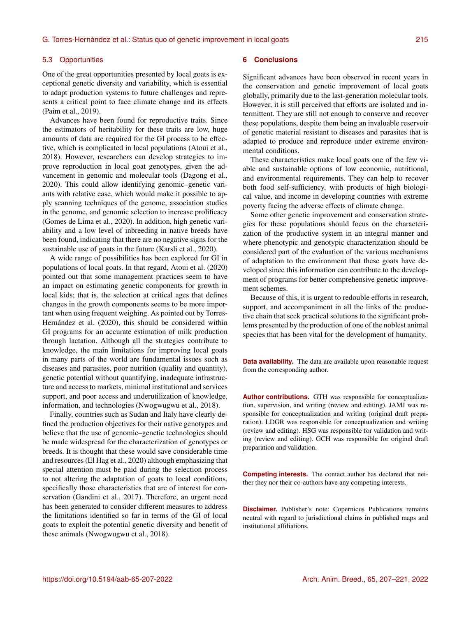#### 5.3 Opportunities

One of the great opportunities presented by local goats is exceptional genetic diversity and variability, which is essential to adapt production systems to future challenges and represents a critical point to face climate change and its effects (Paim et al., 2019).

Advances have been found for reproductive traits. Since the estimators of heritability for these traits are low, huge amounts of data are required for the GI process to be effective, which is complicated in local populations (Atoui et al., 2018). However, researchers can develop strategies to improve reproduction in local goat genotypes, given the advancement in genomic and molecular tools (Dagong et al., 2020). This could allow identifying genomic–genetic variants with relative ease, which would make it possible to apply scanning techniques of the genome, association studies in the genome, and genomic selection to increase prolificacy (Gomes de Lima et al., 2020). In addition, high genetic variability and a low level of inbreeding in native breeds have been found, indicating that there are no negative signs for the sustainable use of goats in the future (Karsli et al., 2020).

A wide range of possibilities has been explored for GI in populations of local goats. In that regard, Atoui et al. (2020) pointed out that some management practices seem to have an impact on estimating genetic components for growth in local kids; that is, the selection at critical ages that defines changes in the growth components seems to be more important when using frequent weighing. As pointed out by Torres-Hernández et al. (2020), this should be considered within GI programs for an accurate estimation of milk production through lactation. Although all the strategies contribute to knowledge, the main limitations for improving local goats in many parts of the world are fundamental issues such as diseases and parasites, poor nutrition (quality and quantity), genetic potential without quantifying, inadequate infrastructure and access to markets, minimal institutional and services support, and poor access and underutilization of knowledge, information, and technologies (Nwogwugwu et al., 2018).

Finally, countries such as Sudan and Italy have clearly defined the production objectives for their native genotypes and believe that the use of genomic–genetic technologies should be made widespread for the characterization of genotypes or breeds. It is thought that these would save considerable time and resources (El Hag et al., 2020) although emphasizing that special attention must be paid during the selection process to not altering the adaptation of goats to local conditions, specifically those characteristics that are of interest for conservation (Gandini et al., 2017). Therefore, an urgent need has been generated to consider different measures to address the limitations identified so far in terms of the GI of local goats to exploit the potential genetic diversity and benefit of these animals (Nwogwugwu et al., 2018).

## **6 Conclusions**

Significant advances have been observed in recent years in the conservation and genetic improvement of local goats globally, primarily due to the last-generation molecular tools. However, it is still perceived that efforts are isolated and intermittent. They are still not enough to conserve and recover these populations, despite them being an invaluable reservoir of genetic material resistant to diseases and parasites that is adapted to produce and reproduce under extreme environmental conditions.

These characteristics make local goats one of the few viable and sustainable options of low economic, nutritional, and environmental requirements. They can help to recover both food self-sufficiency, with products of high biological value, and income in developing countries with extreme poverty facing the adverse effects of climate change.

Some other genetic improvement and conservation strategies for these populations should focus on the characterization of the productive system in an integral manner and where phenotypic and genotypic characterization should be considered part of the evaluation of the various mechanisms of adaptation to the environment that these goats have developed since this information can contribute to the development of programs for better comprehensive genetic improvement schemes.

Because of this, it is urgent to redouble efforts in research, support, and accompaniment in all the links of the productive chain that seek practical solutions to the significant problems presented by the production of one of the noblest animal species that has been vital for the development of humanity.

**Data availability.** The data are available upon reasonable request from the corresponding author.

**Author contributions.** GTH was responsible for conceptualization, supervision, and writing (review and editing). JAMJ was responsible for conceptualization and writing (original draft preparation). LDGR was responsible for conceptualization and writing (review and editing). HSG was responsible for validation and writing (review and editing). GCH was responsible for original draft preparation and validation.

**Competing interests.** The contact author has declared that neither they nor their co-authors have any competing interests.

**Disclaimer.** Publisher's note: Copernicus Publications remains neutral with regard to jurisdictional claims in published maps and institutional affiliations.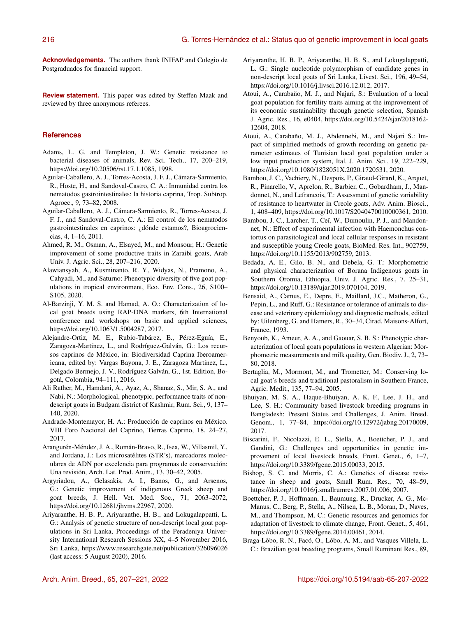**Acknowledgements.** The authors thank INIFAP and Colegio de Postgraduados for financial support.

**Review statement.** This paper was edited by Steffen Maak and reviewed by three anonymous referees.

## **References**

- Adams, L. G. and Templeton, J. W.: Genetic resistance to bacterial diseases of animals, Rev. Sci. Tech., 17, 200–219, https://doi.org[/10.20506/rst.17.1.1085,](https://doi.org/10.20506/rst.17.1.1085) 1998.
- Aguilar-Caballero, A. J., Torres-Acosta, J. F. J., Cámara-Sarmiento, R., Hoste, H., and Sandoval-Castro, C. A.: Inmunidad contra los nematodos gastrointestinales: la historia caprina, Trop. Subtrop. Agroec., 9, 73–82, 2008.
- Aguilar-Caballero, A. J., Cámara-Sarmiento, R., Torres-Acosta, J. F. J., and Sandoval-Castro, C. A.: El control de los nematodos gastrointestinales en caprinos: ¿dónde estamos?, Bioagrociencias, 4, 1–16, 2011.
- Ahmed, R. M., Osman, A., Elsayed, M., and Monsour, H.: Genetic improvement of some productive traits in Zaraibi goats, Arab Univ. J. Agric. Sci., 28, 207–216, 2020.
- Alawiansyah, A., Kusminanto, R. Y., Widyas, N., Pramono, A., Cahyadi, M., and Saturno: Phenotypic diversity of five goat populations in tropical environment, Eco. Env. Cons., 26, S100– S105, 2020.
- Al-Barzinji, Y. M. S. and Hamad, A. O.: Characterization of local goat breeds using RAP-DNA markers, 6th International conference and workshops on basic and applied sciences, https://doi.org[/10.1063/1.5004287,](https://doi.org/10.1063/1.5004287) 2017.
- Alejandre-Ortiz, M. E., Rubio-Tabárez, E., Pérez-Eguía, E., Zaragoza-Martínez, L., and Rodríguez-Galván, G.: Los recursos caprinos de México, in: Biodiversidad Caprina Iberoamericana, edited by: Vargas Bayona, J. E., Zaragoza Martínez, L., Delgado Bermejo, J. V., Rodríguez Galván, G., 1st. Edition, Bogotá, Colombia, 94–111, 2016.
- Ali Rather, M., Hamdani, A., Ayaz, A., Shanaz, S., Mir, S. A., and Nabi, N.: Morphological, phenotypic, performance traits of nondescript goats in Budgam district of Kashmir, Rum. Sci., 9, 137– 140, 2020.
- Andrade-Montemayor, H. A.: Producción de caprinos en México. VIII Foro Nacional del Caprino, Tierras Caprino, 18, 24–27, 2017.
- Arangurén-Méndez, J. A., Román-Bravo, R., Isea, W., Villasmil, Y., and Jordana, J.: Los microsatélites (STR's), marcadores moleculares de ADN por excelencia para programas de conservación: Una revisión, Arch. Lat. Prod. Anim., 13, 30–42, 2005.
- Argyriadou, A., Gelasakis, A. I., Banos, G., and Arsenos, G.: Genetic improvement of indigenous Greek sheep and goat breeds, J. Hell. Vet. Med. Soc., 71, 2063–2072, https://doi.org[/10.12681/jhvms.22967,](https://doi.org/10.12681/jhvms.22967) 2020.
- Ariyaranthe, H. B. P., Ariyaranthe, H. B., and Lokugalappatti, L. G.: Analysis of genetic structure of non-descript local goat populations in Sri Lanka, Proceedings of the Peradeniya University International Research Sessions XX, 4–5 November 2016, Sri Lanka, <https://www.researchgate.net/publication/326096026> (last access: 5 August 2020), 2016.
- Ariyaranthe, H. B. P., Ariyaranthe, H. B. S., and Lokugalappatti, L. G.: Single nucleotide polymorphism of candidate genes in non-descript local goats of Sri Lanka, Livest. Sci., 196, 49–54, https://doi.org[/10.1016/j.livsci.2016.12.012,](https://doi.org/10.1016/j.livsci.2016.12.012) 2017.
- Atoui, A., Carabaño, M. J., and Najari, S.: Evaluation of a local goat population for fertility traits aiming at the improvement of its economic sustainability through genetic selection, Spanish J. Agric. Res., 16, e0404, https://doi.org[/10.5424/sjar/2018162-](https://doi.org/10.5424/sjar/2018162-12604) [12604,](https://doi.org/10.5424/sjar/2018162-12604) 2018.
- Atoui, A., Carabaño, M. J., Abdennebi, M., and Najari S.: Impact of simplified methods of growth recording on genetic parameter estimates of Tunisian local goat population under a low input production system, Ital. J. Anim. Sci., 19, 222–229, https://doi.org[/10.1080/1828051X.2020.1720531,](https://doi.org/10.1080/1828051X.2020.1720531) 2020.
- Bambou, J. C., Vachiery, N., Despois, P., Giraud-Girard, K., Arquet, R., Pinarello, V., Aprelon, R., Barbier, C., Gobardham, J., Mandonnet, N., and Lefrancois, T.: Assessment of genetic variability of resistance to heartwater in Creole goats, Adv. Anim. Biosci., 1, 408–409, https://doi.org[/10.1017/S2040470010000361,](https://doi.org/10.1017/S2040470010000361) 2010.
- Bambou, J. C., Larcher, T., Ceï, W., Dumoulin, P. J., and Mandonnet, N.: Effect of experimental infection with Haemonchus contortus on parasitological and local cellular responses in resistant and susceptible young Creole goats, BioMed. Res. Int., 902759, https://doi.org[/10.1155/2013/902759,](https://doi.org/10.1155/2013/902759) 2013.
- Bedada, A. E., Gilo, B. N., and Debela, G. T.: Morphometric and physical characterization of Borana Indigenous goats in Southern Oromia, Ethiopia, Univ. J. Agric. Res., 7, 25–31, https://doi.org[/10.13189/ujar.2019.070104,](https://doi.org/10.13189/ujar.2019.070104) 2019.
- Bensaid, A., Camus, E., Depre, E., Maillard, J.C., Matheron, G., Pepin, L., and Ruff, G.: Resistance or tolerance of animals to disease and veterinary epidemiology and diagnostic methods, edited by: Uilenberg, G. and Hamers, R., 30–34, Cirad, Maisons-Alfort, France, 1993.
- Benyoub, K., Ameur, A. A., and Gaouar, S. B. S.: Phenotypic characterization of local goats populations in western Algerian: Morphometric measurements and milk quality, Gen. Biodiv. J., 2, 73– 80, 2018.
- Bertaglia, M., Mormont, M., and Trometter, M.: Conserving local goat's breeds and traditional pastoralism in Southern France, Agric. Medit., 135, 77–94, 2005.
- Bhuiyan, M. S. A., Haque-Bhuiyan, A. K. F., Lee, J. H., and Lee, S. H.: Community based livestock breeding programs in Bangladesh: Present Status and Challenges, J. Anim. Breed. Genom., 1, 77–84, https://doi.org[/10.12972/jabng.20170009,](https://doi.org/10.12972/jabng.20170009) 2017.
- Biscarini, F., Nicolazzi, E. L., Stella, A., Boettcher, P. J., and Gandini, G.: Challenges and opportunities in genetic improvement of local livestock breeds, Front. Genet., 6, 1–7, https://doi.org[/10.3389/fgene.2015.00033,](https://doi.org/10.3389/fgene.2015.00033) 2015.
- Bishop, S. C. and Morris, C. A.: Genetics of disease resistance in sheep and goats, Small Rum. Res., 70, 48–59, https://doi.org[/10.1016/j.smallrumres.2007.01.006,](https://doi.org/10.1016/j.smallrumres.2007.01.006) 2007.
- Boettcher, P. J., Hoffmann, I., Baumung, R., Drucker, A. G., Mc-Manus, C., Berg, P., Stella, A., Nilsen, L. B., Moran, D., Naves, M., and Thompson, M. C.: Genetic resources and genomics for adaptation of livestock to climate change, Front. Genet., 5, 461, https://doi.org[/10.3389/fgene.2014.00461,](https://doi.org/10.3389/fgene.2014.00461) 2014.
- Braga-Lôbo, R. N., Facó, O., Lôbo, A. M., and Vasques Villela, L. C.: Brazilian goat breeding programs, Small Ruminant Res., 89,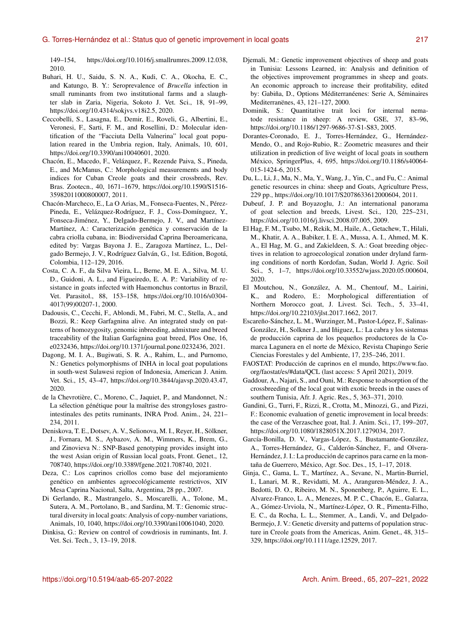149–154, https://doi.org[/10.1016/j.smallrumres.2009.12.038,](https://doi.org/10.1016/j.smallrumres.2009.12.038) 2010.

- Buhari, H. U., Saidu, S. N. A., Kudi, C. A., Okocha, E. C., and Katungo, B. Y.: Seroprevalence of *Brucella* infection in small ruminants from two institutional farms and a slaughter slab in Zaria, Nigeria, Sokoto J. Vet. Sci., 18, 91–99, https://doi.org[/10.4314/sokjvs.v18i2.5,](https://doi.org/10.4314/sokjvs.v18i2.5) 2020.
- Ceccobelli, S., Lasagna, E., Demir, E., Roveli, G., Albertini, E., Veronesi, F., Sarti, F. M., and Rosellini, D.: Molecular identification of the "Facciuta Della Valnerina" local goat population reared in the Umbria region, Italy, Animals, 10, 601, https://doi.org[/10.3390/ani10040601,](https://doi.org/10.3390/ani10040601) 2020.
- Chacón, E., Macedo, F., Velázquez, F., Rezende Paiva, S., Pineda, E., and McManus, C.: Morphological measurements and body indices for Cuban Creole goats and their crossbreds, Rev. Bras. Zootecn., 40, 1671–1679, https://doi.org[/10.1590/S1516-](https://doi.org/10.1590/S1516-35982011000800007) [35982011000800007,](https://doi.org/10.1590/S1516-35982011000800007) 2011.
- Chacón-Marcheco, E., La O Arias, M., Fonseca-Fuentes, N., Pérez-Pineda, E., Velázquez-Rodríguez, F. J., Coss-Domínguez, Y., Fonseca-Jiménez, Y., Delgado-Bermejo, J. V., and Martínez-Martínez, A.: Caracterización genética y conservación de la cabra criolla cubana, in: Biodiversidad Caprina Iberoamericana, edited by: Vargas Bayona J. E., Zaragoza Martínez, L., Delgado Bermejo, J. V., Rodríguez Galván, G., 1st. Edition, Bogotá, Colombia, 112–129, 2016.
- Costa, C. A. F., da Silva Vieira, L., Berne, M. E. A., Silva, M. U. D., Guidoni, A. L., and Figueiredo, E. A. P.: Variability of resistance in goats infected with Haemonchus contortus in Brazil, Vet. Parasitol., 88, 153–158, https://doi.org[/10.1016/s0304-](https://doi.org/10.1016/s0304-4017(99)00207-1) [4017\(99\)00207-1,](https://doi.org/10.1016/s0304-4017(99)00207-1) 2000.
- Dadousis, C., Cecchi, F., Ablondi, M., Fabri, M. C., Stella, A., and Bozzi, R.: Keep Garfagnina alive. An integrated study on patterns of homozygosity, genomic inbreeding, admixture and breed traceability of the Italian Garfagnina goat breed, Plos One, 16, e0232436, https://doi.org[/10.1371/journal.pone.0232436,](https://doi.org/10.1371/journal.pone.0232436) 2021.
- Dagong, M. I. A., Bugiwati, S. R. A., Rahim, L., and Purnomo, N.: Genetics polymorphisms of INHA in local goat populations in south-west Sulawesi region of Indonesia, American J. Anim. Vet. Sci., 15, 43–47, https://doi.org[/10.3844/ajavsp.2020.43.47,](https://doi.org/10.3844/ajavsp.2020.43.47) 2020.
- de la Chevrotière, C., Moreno, C., Jaquiet, P., and Mandonnet, N.: La sélection génétique pour la maîtrise des strongyloses gastrointestinales des petits ruminants, INRA Prod. Anim., 24, 221– 234, 2011.
- Deniskova, T. E., Dotsev, A. V., Selionova, M. I., Reyer, H., Sölkner, J., Fornara, M. S., Aybazov, A. M., Wimmers, K., Brem, G., and Zinovieva N.: SNP-Based genotyping provides insight into the west Asian origin of Russian local goats, Front. Genet., 12, 708740, https://doi.org[/10.3389/fgene.2021.708740,](https://doi.org/10.3389/fgene.2021.708740) 2021.
- Deza, C.: Los caprinos criollos como base del mejoramiento genético en ambientes agroecológicamente restrictivos, XIV Mesa Caprina Nacional, Salta, Argentina, 28 pp., 2007.
- Di Gerlando, R., Mastrangelo, S., Moscarelli, A., Tolone, M., Sutera, A. M., Portolano, B., and Sardina, M. T.: Genomic structural diversity in local goats: Analysis of copy-number variations, Animals, 10, 1040, https://doi.org[/10.3390/ani10061040,](https://doi.org/10.3390/ani10061040) 2020.
- Dinkisa, G.: Review on control of cowdriosis in ruminants, Int. J. Vet. Sci. Tech., 3, 13–19, 2018.
- Djemali, M.: Genetic improvement objectives of sheep and goats in Tunisia: Lessons Learned, in: Analysis and definition of the objectives improvement programmes in sheep and goats. An economic approach to increase their profitability, edited by: Gabiña, D., Options Méditerranéenes: Serie A, Séminaires Mediterranënes, 43, 121–127, 2000.
- Dominik, S.: Quantitative trait loci for internal nematode resistance in sheep: A review, GSE, 37, 83–96, https://doi.org[/10.1186/1297-9686-37-S1-S83,](https://doi.org/10.1186/1297-9686-37-S1-S83) 2005.
- Dorantes-Coronado, E. J., Torres-Hernández, G., Hernández-Mendo, O., and Rojo-Rubio, R.: Zoometric measures and their utilization in prediction of live weight of local goats in southern México, SpringerPlus, 4, 695, https://doi.org[/10.1186/s40064-](https://doi.org/10.1186/s40064-015-1424-6) [015-1424-6,](https://doi.org/10.1186/s40064-015-1424-6) 2015.
- Du, L., Li, J., Ma, N., Ma, Y., Wang, J., Yin, C., and Fu, C.: Animal genetic resources in china: sheep and Goats, Agriculture Press, 229 pp., https://doi.org[/10.1017/S2078633612000604,](https://doi.org/10.1017/S2078633612000604) 2011.
- Dubeuf, J. P. and Boyazoglu, J.: An international panorama of goat selection and breeds, Livest. Sci., 120, 225–231, https://doi.org[/10.1016/j.livsci.2008.07.005,](https://doi.org/10.1016/j.livsci.2008.07.005) 2009.
- El Hag, F. M., Tsubo, M., Rekik, M., Haile, A., Getachew, T., Hilali, M., Khatir, A. A., Babiker, I. E. A., Mussa, A. I., Ahmed, M. K. A., El Hag, M. G., and Zakieldeen, S. A.: Goat breeding objectives in relation to agroecological zonation under dryland farming conditions of north Kordofan, Sudan, World J. Agric. Soil Sci., 5, 1–7, https://doi.org[/10.33552/wjass.2020.05.000604,](https://doi.org/10.33552/wjass.2020.05.000604) 2020.
- El Moutchou, N., González, A. M., Chentouf, M., Lairini, K., and Rodero, E.: Morphological differentiation of Northern Morocco goat, J. Livest. Sci. Tech., 5, 33–41, https://doi.org[/10.22103/jlst.2017.1662,](https://doi.org/10.22103/jlst.2017.1662) 2017.
- Escareño-Sánchez, L. M., Wurzinger, M., Pastor-López, F., Salinas-González, H., Solkner J., and Iñiguez, L.: La cabra y los sistemas de producción caprina de los pequeños productores de la Comarca Lagunera en el norte de México, Revista Chapingo Serie Ciencias Forestales y del Ambiente, 17, 235–246, 2011.
- FAOSTAT: Producción de caprinos en el mundo, [https://www.fao.](https://www.fao.org/faostat/es/#data/QCL) [org/faostat/es/#data/QCL](https://www.fao.org/faostat/es/#data/QCL) (last access: 5 April 2021), 2019.
- Gaddour, A., Najari, S., and Ouni, M.: Response to absorption of the crossbreeding of the local goat with exotic breeds in the oases of southern Tunisia, Afr. J. Agric. Res., 5, 363–371, 2010.
- Gandini, G., Turri, F., Rizzi, R., Crotta, M., Minozzi, G., and Pizzi, F.: Economic evaluation of genetic improvement in local breeds: the case of the Verzaschee goat, Ital. J. Anim. Sci., 17, 199–207, https://doi.org[/10.1080/1828051X.2017.1279034,](https://doi.org/10.1080/1828051X.2017.1279034) 2017.
- García-Bonilla, D. V., Vargas-López, S., Bustamante-González, A., Torres-Hernández, G., Calderón-Sánchez, F., and Olvera-Hernández, J. I.: La producción de caprinos para carne en la montaña de Guerrero, México, Agr. Soc. Des., 15, 1–17, 2018.
- Ginja, C., Gama, L. T., Martínez, A., Sevane, N., Martin-Burriel, I., Lanari, M. R., Revidatti, M. A., Aranguren-Méndez, J. A., Bedotti, D. O., Ribeiro, M. N., Sponenberg, P., Aguirre, E. L., Alvarez-Franco, L. A., Menezes, M. P. C., Chacón, E., Galarza, A., Gómez-Urviola, N., Martínez-López, O. R., Pimenta-Filho, E. C., da Rocha, L. L., Stemmer, A., Landi, V., and Delgado-Bermejo, J. V.: Genetic diversity and patterns of population structure in Creole goats from the Americas, Anim. Genet., 48, 315– 329, https://doi.org[/10.1111/age.12529,](https://doi.org/10.1111/age.12529) 2017.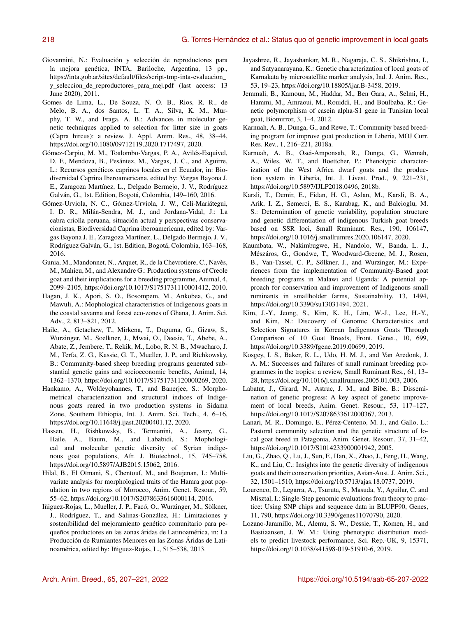- Giovannini, N.: Evaluación y selección de reproductores para la mejora genética, INTA, Bariloche, Argentina, 13 pp., [https://inta.gob.ar/sites/default/files/script-tmp-inta-evaluacion\\_](https://inta.gob.ar/sites/default/files/script-tmp-inta-evaluacion_y_seleccion_de_reproductores_para_mej.pdf) [y\\_seleccion\\_de\\_reproductores\\_para\\_mej.pdf](https://inta.gob.ar/sites/default/files/script-tmp-inta-evaluacion_y_seleccion_de_reproductores_para_mej.pdf) (last access: 13 June 2020), 2011.
- Gomes de Lima, L., De Souza, N. O. B., Rios, R. R., de Melo, B. A., dos Santos, L. T. A., Silva, K. M., Murphy, T. W., and Fraga, A. B.: Advances in molecular genetic techniques applied to selection for litter size in goats (Capra hircus): a review, J. Appl. Anim. Res., 48, 38–44, https://doi.org[/10.1080/09712119.2020.1717497,](https://doi.org/10.1080/09712119.2020.1717497) 2020.
- Gómez-Carpio, M. M., Toalombo-Vargas, P. A., Avilés-Esquivel, D. F., Mendoza, B., Pesántez, M., Vargas, J. C., and Aguirre, L.: Recursos genéticos caprinos locales en el Ecuador, in: Biodiversidad Caprina Iberoamericana, edited by: Vargas Bayona J. E., Zaragoza Martínez, L., Delgado Bermejo, J. V., Rodríguez Galván, G., 1st. Edition, Bogotá, Colombia, 149–160, 2016.
- Gómez-Urviola, N. C., Gómez-Urviola, J. W., Celi-Mariátegui, I. D. R., Milán-Sendra, M. J., and Jordana-Vidal, J.: La cabra criolla peruana, situación actual y perspectivas conservacionistas, Biodiversidad Caprina iberoamericana, edited by: Vargas Bayona J. E., Zaragoza Martínez, L., Delgado Bermejo, J. V., Rodríguez Galván, G., 1st. Edition, Bogotá, Colombia, 163–168, 2016.
- Gunia, M., Mandonnet, N., Arquet, R., de la Chevrotiere, C., Navès, M., Mahieu, M., and Alexandre G.: Production systems of Creole goat and their implications for a breeding programme, Animal, 4, 2099–2105, https://doi.org[/10.1017/S1751731110001412,](https://doi.org/10.1017/S1751731110001412) 2010.
- Hagan, J. K., Apori, S. O., Bosompem, M., Ankobea, G., and Mawuli, A.: Mophological characteristics of Indigenous goats in the coastal savanna and forest eco-zones of Ghana, J. Anim. Sci. Adv., 2, 813–821, 2012.
- Haile, A., Getachew, T., Mirkena, T., Duguma, G., Gizaw, S., Wurzinger, M., Soelkner, J., Mwai, O., Deesie, T., Abebe, A., Abate, Z., Jembere, T., Rekik, M., Lobo, R. N. B., Mwacharo, J. M., Terfa, Z. G., Kassie, G. T., Mueller, J. P., and Richkowsky, B.: Community-based sheep breeding programs generated substantial genetic gains and socioeconomic benefits, Animal, 14, 1362–1370, https://doi.org[/10.1017/S1751731120000269,](https://doi.org/10.1017/S1751731120000269) 2020.
- Hankamo, A., Woldeyohannes, T., and Banerjee, S.: Morphometrical characterization and structural indices of Indigenous goats reared in two production systems in Sidama Zone, Southern Ethiopia, Int. J. Anim. Sci. Tech., 4, 6–16, https://doi.org[/10.11648/j.ijast.20200401.12,](https://doi.org/10.11648/j.ijast.20200401.12) 2020.
- Hassen, H., Rishkowsky, B., Termanini, A., Jessry, G., Haile, A., Baum, M., and Lababidi, S.: Mophological and molecular genetic diversity of Syrian indigenous goat populations, Afr. J. Biotechnol., 15, 745–758, https://doi.org[/10.5897/AJB2015.15062,](https://doi.org/10.5897/AJB2015.15062) 2016.
- Hilal, B., El Otmani, S., Chentouf, M., and Boujenan, I.: Multivariate analysis for morphological traits of the Hamra goat population in two regions of Morocco, Anim. Genet. Resour., 59, 55–62, https://doi.org[/10.1017/S2078633616000114,](https://doi.org/10.1017/S2078633616000114) 2016.
- Iñiguez-Rojas, L., Mueller, J. P., Facó, O., Wurzinger, M., Sölkner, J., Rodríguez, T., and Salinas-González, H.: Limitaciones y sostenibilidad del mejoramiento genético comunitario para pequeños productores en las zonas áridas de Latinoamérica, in: La Producción de Rumiantes Menores en las Zonas Áridas de Latinoamérica, edited by: Iñiguez-Rojas, L., 515–538, 2013.
- Jayashree, R., Jayashankar, M. R., Nagaraja, C. S., Shikrishna, I., and Satyanarayana, K.: Genetic characterization of local goats of Karnakata by microsatellite marker analysis, Ind. J. Anim. Res., 53, 19–23, https://doi.org[/10.18805/ijar.B-3458,](https://doi.org/10.18805/ijar.B-3458) 2019.
- Jemmali, B., Kamoun, M., Haddar, M., Ben Gara, A., Selmi, H., Hammi, M., Amraoui, M., Rouiddi, H., and Boulbaba, R.: Genetic polymorphism of casein alpha-S1 gene in Tunisian local goat, Biomirror, 3, 1–4, 2012.
- Karnuah, A. B., Dunga, G., and Rewe, T.: Community based breeding program for improve goat production in Liberia, MOJ Curr. Res. Rev., 1, 216–221, 2018a.
- Karnuah, A. B., Osei-Amponsah, R., Dunga, G., Wennah, A., Wiles, W. T., and Boettcher, P.: Phenotypic characterization of the West Africa dwarf goats and the production system in Liberia, Int. J. Livest. Prod., 9, 221–231, https://doi.org[/10.5897/IJLP2018.0496,](https://doi.org/10.5897/IJLP2018.0496) 2018b.
- Karsli, T., Demir, E., Fidan, H. G., Aslan, M., Karsli, B. A., Arik, I. Z., Semerci, E. S., Karabag, K., and Balcioglu, M. S.: Determination of genetic variability, population structure and genetic differentiation of indigenous Turkish goat breeds based on SSR loci, Small Ruminant. Res., 190, 106147, https://doi.org[/10.1016/j.smallrumres.2020.106147,](https://doi.org/10.1016/j.smallrumres.2020.106147) 2020.
- Kaumbata, W., Nakimbugwe, H., Nandolo, W., Banda, L. J., Mészáros, G., Gondwe, T., Woodward-Greene, M. J., Rosen, B., Van-Tassel, C. P., Sölkner, J., and Wurzinger, M.: Experiences from the implementation of Community-Based goat breeding programs in Malawi and Uganda: A potential approach for conservation and improvement of Indigenous small ruminants in smallholder farms, Sustainability, 13, 1494, https://doi.org[/10.3390/su13031494,](https://doi.org/10.3390/su13031494) 2021.
- Kim, J.-Y., Jeong, S., Kim, K. H., Lim, W.-J., Lee, H.-Y., and Kim, N.: Discovery of Genomic Characteristics and Selection Signatures in Korean Indigenous Goats Through Comparison of 10 Goat Breeds, Front. Genet., 10, 699, https://doi.org[/10.3389/fgene.2019.00699,](https://doi.org/10.3389/fgene.2019.00699) 2019.
- Kosgey, I. S., Baker, R. L., Udo, H. M. J., and Van Aredonk, J. A. M.: Successes and failures of small ruminant breeding programmes in the tropics: a review, Small Ruminant Res., 61, 13– 28, https://doi.org[/10.1016/j.smallrumres.2005.01.003,](https://doi.org/10.1016/j.smallrumres.2005.01.003) 2006.
- Labatut, J., Girard, N., Astruc, J. M., and Bibe, B.: Dissemination of genetic progress: A key aspect of genetic improvement of local breeds, Anim. Genet. Resour., 53, 117–127, https://doi.org[/10.1017/S2078633612000367,](https://doi.org/10.1017/S2078633612000367) 2013.
- Lanari, M. R., Domingo, E., Pérez-Centeno, M. J., and Gallo, L.: Pastoral community selection and the genetic structure of local goat breed in Patagonia, Anim. Genet. Resour., 37, 31–42, https://doi.org[/10.1017/S1014233900001942,](https://doi.org/10.1017/S1014233900001942) 2005.
- Liu, G., Zhao, Q., Lu, J., Sun, F., Han, X., Zhao, J., Feng, H., Wang, K., and Liu, C.: Insights into the genetic diversity of indigenous goats and their conservation priorities, Asian-Aust. J. Anim. Sci., 32, 1501–1510, https://doi.org[/10.5713/ajas.18.0737,](https://doi.org/10.5713/ajas.18.0737) 2019.
- Lourenco, D., Legarra, A., Tsuruta, S., Masuda, Y., Aguilar, C. and Misztal, I.: Single-Step genomic evaluations from theory to practice: Using SNP chips and sequence data in BLUPF90, Genes, 11, 790, https://doi.org[/10.3390/genes11070790,](https://doi.org/10.3390/genes11070790) 2020.
- Lozano-Jaramillo, M., Alemu, S. W., Dessie, T., Komen, H., and Bastiaansen, J. W. M.: Using phenotypic distribution models to predict livestock performance, Sci. Rep.-UK, 9, 15371, https://doi.org[/10.1038/s41598-019-51910-6,](https://doi.org/10.1038/s41598-019-51910-6) 2019.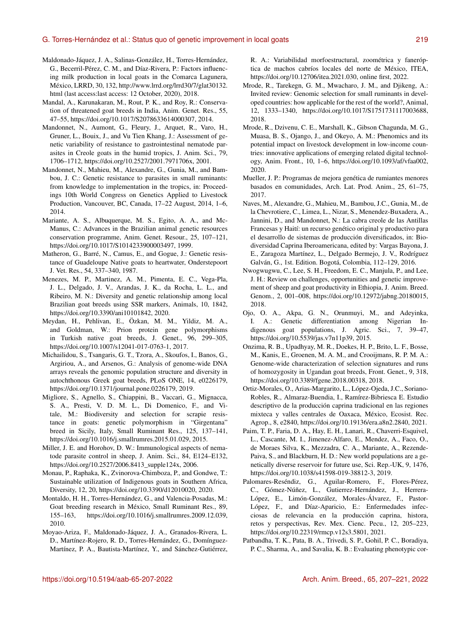- Maldonado-Jáquez, J. A., Salinas-González, H., Torres-Hernández, G., Becerril-Pérez, C. M., and Díaz-Rivera, P.: Factors influencing milk production in local goats in the Comarca Lagunera, México, LRRD, 30, 132, [http://www.lrrd.org/lrrd30/7/glat30132.](http://www.lrrd.org/lrrd30/7/glat30132.html) [html](http://www.lrrd.org/lrrd30/7/glat30132.html) (last access:last access: 12 October, 2020), 2018.
- Mandal, A., Karunakaran, M., Rout, P. K., and Roy, R.: Conservation of threatened goat breeds in India, Anim. Genet. Res., 55, 47–55, https://doi.org[/10.1017/S2078633614000307,](https://doi.org/10.1017/S2078633614000307) 2014.
- Mandonnet, N., Aumont, G., Fleury, J., Arquet, R., Varo, H., Gruner, L., Bouix, J., and Vu Tien Khang, J.: Assessment of genetic variability of resistance to gastrointestinal nematode parasites in Creole goats in the humid tropics, J. Anim. Sci., 79, 1706–1712, https://doi.org[/10.2527/2001.7971706x,](https://doi.org/10.2527/2001.7971706x) 2001.
- Mandonnet, N., Mahieu, M., Alexandre, G., Gunia, M., and Bambou, J. C.: Genetic resistance to parasites in small ruminants: from knowledge to implementation in the tropics, in: Proceedings 10th World Congress on Genetics Applied to Livestock Production, Vancouver, BC, Canada, 17–22 August, 2014, 1–6, 2014.
- Mariante, A. S., Albuquerque, M. S., Egito, A. A., and Mc-Manus, C.: Advances in the Brazilian animal genetic resources conservation programme, Anim. Genet. Resour., 25, 107–121, https://doi.org[/10.1017/S1014233900003497,](https://doi.org/10.1017/S1014233900003497) 1999.
- Matheron, G., Barré, N., Camus, E., and Gogue, J.: Genetic resistance of Guadeloupe Native goats to heartwater, Onderstepoort J. Vet. Res., 54, 337–340, 1987.
- Menezes, M. P., Martinez, A. M., Pimenta, E. C., Vega-Pla, J. L., Delgado, J. V., Arandas, J. K., da Rocha, L. L., and Ribeiro, M. N.: Diversity and genetic relationship among local Brazilian goat breeds using SSR markers, Animals, 10, 1842, https://doi.org[/10.3390/ani10101842,](https://doi.org/10.3390/ani10101842) 2020.
- Meydan, H., Pehlivan, E., Özkan, M. M., Yildiz, M. A., and Goldman, W.: Prion protein gene polymorphisms in Turkish native goat breeds, J. Genet., 96, 299–305, https://doi.org[/10.1007/s12041-017-0763-1,](https://doi.org/10.1007/s12041-017-0763-1) 2017.
- Michailidou, S., Tsangaris, G. T., Tzora, A., Skoufos, I., Banos, G., Argiriou, A., and Arsenos, G.: Analysis of genome-wide DNA arrays reveals the genomic population structure and diversity in autochthonous Greek goat breeds, PLoS ONE, 14, e0226179, https://doi.org[/10.1371/journal.pone.0226179,](https://doi.org/10.1371/journal.pone.0226179) 2019.
- Migliore, S., Agnello, S., Chiappini, B., Vaccari, G., Mignacca, S. A., Presti, V. D. M. L., Di Domenico, F., and Vitale, M.: Biodiversity and selection for scrapie resistance in goats: genetic polymorphism in "Girgentana" breed in Sicily, Italy, Small Ruminant Res., 125, 137–141, https://doi.org[/10.1016/j.smallrumres.2015.01.029,](https://doi.org/10.1016/j.smallrumres.2015.01.029) 2015.
- Miller, J. E. and Horohov, D. W.: Immunological aspects of nematode parasite control in sheep, J. Anim. Sci., 84, E124–E132, https://doi.org[/10.2527/2006.8413\\_supple124x,](https://doi.org/10.2527/2006.8413_supple124x) 2006.
- Monau, P., Raphaka, K., Zvinorova-Chimboza, P., and Gondwe, T.: Sustainable utilization of Indigenous goats in Southern Africa, Diversity, 12, 20, https://doi.org[/10.3390/d12010020,](https://doi.org/10.3390/d12010020) 2020.
- Montaldo, H. H., Torres-Hernández, G., and Valencia-Posadas, M.: Goat breeding research in México, Small Ruminant Res., 89, 155–163, https://doi.org[/10.1016/j.smallrumres.2009.12.039,](https://doi.org/10.1016/j.smallrumres.2009.12.039) 2010.
- Moyao-Ariza, F., Maldonado-Jáquez, J. A., Granados-Rivera, L. D., Martínez-Rojero, R. D., Torres-Hernández, G., Domínguez-Martínez, P. A., Bautista-Martínez, Y., and Sánchez-Gutiérrez,

R. A.: Variabilidad morfoestructural, zoométrica y faneróptica de machos cabríos locales del norte de México, ITEA, https://doi.org[/10.12706/itea.2021.030,](https://doi.org/10.12706/itea.2021.030) online first, 2022.

- Mrode, R., Tarekegn, G. M., Mwacharo, J. M., and Djikeng, A.: Invited review: Genomic selection for small ruminants in developed countries: how applicable for the rest of the world?, Animal, 12, 1333–1340, https://doi.org[/10.1017/S1751731117003688,](https://doi.org/10.1017/S1751731117003688) 2018.
- Mrode, R., Dzivenu, C. E., Marshall, K., Gibson Chagunda, M. G., Muasa, B. S., Ojango, J., and Okeyo, A. M.: Phenomics and its potential impact on livestock development in low-income countries: innovative applications of emerging related digital technology, Anim. Front., 10, 1–6, https://doi.org[/10.1093/af/vfaa002,](https://doi.org/10.1093/af/vfaa002) 2020.
- Mueller, J. P.: Programas de mejora genética de rumiantes menores basados en comunidades, Arch. Lat. Prod. Anim., 25, 61–75, 2017.
- Naves, M., Alexandre, G., Mahieu, M., Bambou, J.C., Gunia, M., de la Chevrotiere, C., Limea, L., Nizar, S., Menendez-Buxadera, A., Jannini, D., and Mandonnet, N.: La cabra creole de las Antillas Francesas y Haití: un recurso genético original y productivo para el desarrollo de sistemas de producción diversificados, in: Biodiversidad Caprina Iberoamericana, edited by: Vargas Bayona, J. E., Zaragoza Martínez, L., Delgado Bermejo, J. V., Rodríguez Galván, G., 1st. Edition. Bogotá, Colombia, 112–129, 2016.
- Nwogwugwu, C., Lee, S. H., Freedom, E. C., Manjula, P., and Lee, J. H.: Review on challenges, opportunities and genetic improvement of sheep and goat productivity in Ethiopia, J. Anim. Breed. Genom., 2, 001–008, https://doi.org[/10.12972/jabng.20180015,](https://doi.org/10.12972/jabng.20180015) 2018.
- Ojo, O. A., Akpa, G. N., Orunmuyi, M., and Adeyinka, I. A.: Genetic differentiation among Nigerian Indigenous goat populations, J. Agric. Sci., 7, 39–47, https://doi.org[/10.5539/jas.v7n11p39,](https://doi.org/10.5539/jas.v7n11p39) 2015.
- Onzima, R. B., Upadhyay, M. R., Doekes, H. P., Brito, L. F., Bosse, M., Kanis, E., Groenen, M. A. M., and Crooijmans, R. P. M. A.: Genome-wide characterization of selection signatures and runs of homozygosity in Ugandan goat breeds, Front. Genet., 9, 318, https://doi.org[/10.3389/fgene.2018.00318,](https://doi.org/10.3389/fgene.2018.00318) 2018.
- Ortiz-Morales, O., Arias-Margarito, L., López-Ojeda, J.C., Soriano-Robles, R., Almaraz-Buendia, I., Ramírez-Bibriesca E. Estudio descriptivo de la producción caprina tradicional en las regiones mixteca y valles centrales de Oaxaca, México, Ecosist. Rec. Agrop., 8, e2840, https://doi.org[/10.19136/era.a8n2.2840,](https://doi.org/10.19136/era.a8n2.2840) 2021.
- Paim, T. P., Faria, D. A., Hay, E. H., Lanari, R., Chaverri-Esquivel, L., Cascante, M. I., Jimenez-Alfaro, E., Mendez, A., Faco, O., de Moraes Silva, K., Mezzadra, C. A., Mariante, A., Rezende-Paiva, S., and Blackburn, H. D.: New world populations are a genetically diverse reservoir for future use, Sci. Rep.-UK, 9, 1476, https://doi.org[/10.1038/s41598-019-38812-3,](https://doi.org/10.1038/s41598-019-38812-3) 2019.
- Palomares-Reséndiz, G., Aguilar-Romero, F., Flores-Pérez, C., Gómez-Núñez, L., Gutierrez-Hernández, J., Herrera-López, E., Limón-González, Morales-Álvarez, F., Pastor-López, F., and Díaz-Aparicio, E.: Enfermedades infecciosas de relevancia en la producción caprina, histora, retos y perspectivas, Rev. Mex. Cienc. Pecu., 12, 205–223, https://doi.org[/10.22319/rmcp.v12s3.5801,](https://doi.org/10.22319/rmcp.v12s3.5801) 2021.
- Patbandha, T. K., Pata, B. A., Trivedi, S. P., Gohil, P. C., Boradiya, P. C., Sharma, A., and Savalia, K. B.: Evaluating phenotypic cor-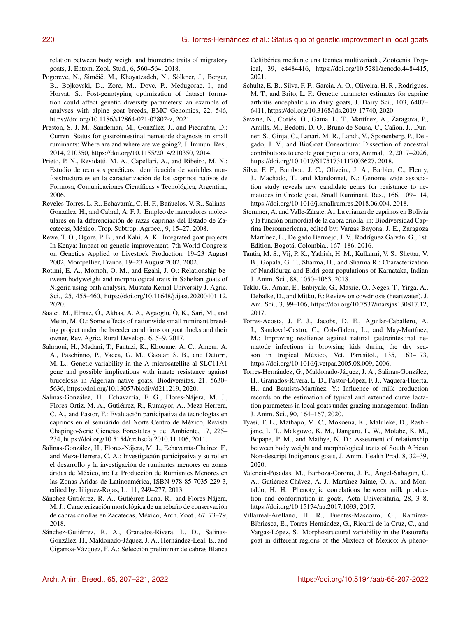relation between body weight and biometric traits of migratory goats, J. Entom. Zool. Stud., 6, 560–564, 2018.

- Pogorevc, N., Simčič, M., Khayatzadeh, N., Sölkner, J., Berger, B., Bojkovski, D., Zorc, M., Dovc, P., Medugorac, I., and Horvat, S.: Post-genotyping optimization of dataset formation could affect genetic diversity parameters: an example of analyses with alpine goat breeds, BMC Genomics, 22, 546, https://doi.org[/10.1186/s12864-021-07802-z,](https://doi.org/10.1186/s12864-021-07802-z) 2021.
- Preston, S. J. M., Sandeman, M., González, J., and Piedrafita, D.: Current Status for gastrointestinal nematode diagnosis in small ruminants: Where are and where are we going?, J. Immun. Res., 2014, 210350, https://doi.org[/10.1155/2014/210350,](https://doi.org/10.1155/2014/210350) 2014.
- Prieto, P. N., Revidatti, M. A., Capellari, A., and Ribeiro, M. N.: Estudio de recursos genéticos: identificación de variables morfoestructurales en la caracterización de los caprinos nativos de Formosa, Comunicaciones Científicas y Tecnológica, Argentina, 2006.
- Reveles-Torres, L. R., Echavarría, C. H. F., Bañuelos, V. R., Salinas-González, H., and Cabral, A. F. J.: Empleo de marcadores moleculares en la diferenciación de razas caprinas del Estado de Zacatecas, México, Trop. Subtrop. Agroec., 9, 15–27, 2008.
- Rewe, T. O., Ogore, P. B., and Kahi, A. K.: Integrated goat projects In Kenya: Impact on genetic improvement, 7th World Congress on Genetics Applied to Livestock Production, 19–23 August 2002, Montpellier, France, 19–23 August 2002, 2002.
- Rotimi, E. A., Momoh, O. M., and Egahi, J. O.: Relationship between bodyweight and morphological traits in Sahelian goats of Nigeria using path analysis, Mustafa Kemal University J. Agric. Sci., 25, 455–460, https://doi.org[/10.11648/j.ijast.20200401.12,](https://doi.org/10.11648/j.ijast.20200401.12) 2020.
- Saatci, M., Elmaz, Ö., Akbas, A. A., Agaoglu, Ö, K., Sari, M., and Metin, M. Ö.: Some effects of nationwide small ruminant breeding project under the breeder conditions on goat flocks and their owner, Rev. Agric. Rural Develop., 6, 5–9, 2017.
- Sahraoui, H., Madani, T., Fantazi, K., Khouane, A. C., Ameur, A. A., Paschinno, P., Vacca, G. M., Gaouar, S. B., and Detorri, M. L.: Genetic variability in the A microsatellite al SLC11A1 gene and possible implications with innate resistance against brucelosis in Algerian native goats, Biodiversitas, 21, 5630– 5636, https://doi.org[/10.13057/biodiv/d211219,](https://doi.org/10.13057/biodiv/d211219) 2020.
- Salinas-González, H., Echavarría, F. G., Flores-Nájera, M. J., Flores-Ortiz, M. A., Gutiérrez, R., Rumayor, A., Meza-Herrera, C. A., and Pastor, F.: Evaluación participativa de tecnologías en caprinos en el semiárido del Norte Centro de México, Revista Chapingo-Serie Ciencias Forestales y del Ambiente, 17, 225– 234, https://doi.org[/10.5154/r.rchscfa.2010.11.106,](https://doi.org/10.5154/r.rchscfa.2010.11.106) 2011.
- Salinas-González, H., Flores-Nájera, M. J., Echavarría-Chairez, F., and Meza-Herrera, C. A.: Investigación participativa y su rol en el desarrollo y la investigación de rumiantes menores en zonas áridas de México, in: La Producción de Rumiantes Menores en las Zonas Áridas de Latinoamérica, ISBN 978-85-7035-229-3, edited by: Iñiguez-Rojas, L., 11, 249–277, 2013.
- Sánchez-Gutiérrez, R. A., Gutiérrez-Luna, R., and Flores-Nájera, M. J.: Caracterización morfológica de un rebaño de conservación de cabras criollas en Zacatecas, México, Arch. Zoot., 67, 73–79, 2018.
- Sánchez-Gutiérrez, R. A., Granados-Rivera, L. D., Salinas-González, H., Maldonado-Jáquez, J. A., Hernández-Leal, E., and Cigarroa-Vázquez, F. A.: Selección preliminar de cabras Blanca

Celtibérica mediante una técnica multivariada, Zootecnia Tropical, 39, e4484416, https://doi.org[/10.5281/zenodo.4484415,](https://doi.org/10.5281/zenodo.4484415) 2021.

- Schultz, E. B., Silva, F. F., Garcia, A. O., Oliveira, H. R., Rodrigues, M. T., and Brito, L. F.: Genetic parameter estimates for caprine arthritis encephalitis in dairy goats, J. Dairy Sci., 103, 6407– 6411, https://doi.org[/10.3168/jds.2019-17740,](https://doi.org/10.3168/jds.2019-17740) 2020.
- Sevane, N., Cortés, O., Gama, L. T., Martínez, A., Zaragoza, P., Amills, M., Bedotti, D. O., Bruno de Sousa, C., Cañon, J., Dunner, S., Ginja, C., Lanari, M. R., Landi, V., Sponenberg, P., Delgado, J. V., and BioGoat Consortium: Dissection of ancestral contributions to creole goat populations, Animal, 12, 2017–2026, https://doi.org[/10.1017/S1751731117003627,](https://doi.org/10.1017/S1751731117003627) 2018.
- Silva, F. F., Bambou, J. C., Oliveira, J. A., Barbier, C., Fleury, J., Machado, T., and Mandonnet, N.: Genome wide association study reveals new candidate genes for resistance to nematodes in Creole goat, Small Ruminant. Res., 166, 109–114, https://doi.org[/10.1016/j.smallrumres.2018.06.004,](https://doi.org/10.1016/j.smallrumres.2018.06.004) 2018.
- Stemmer, A. and Valle-Zárate, A.: La crianza de caprinos en Bolivia y la función primordial de la cabra criolla, in: Biodiversidad Caprina Iberoamericana, edited by: Vargas Bayona, J. E., Zaragoza Martínez, L., Delgado Bermejo, J. V., Rodríguez Galván, G., 1st. Edition. Bogotá, Colombia., 167–186, 2016.
- Tantia, M. S., Vij, P. K., Yathish, H. M., Kulkarni, V. S., Shettar, V. B., Gopala, G. T., Sharma, H., and Sharma R.: Characterization of Nandidurga and Bidri goat populations of Karnataka, Indian J. Anim. Sci., 88, 1050–1063, 2018.
- Teklu, G., Aman, E., Enbiyale, G., Masrie, O., Neges, T., Yirga, A., Debalke, D., and Mitku, F.: Review on cowdriosis (heartwater), J. Am. Sci., 3, 99–106, https://doi.org[/10.7537/marsjas130817.12,](https://doi.org/10.7537/marsjas130817.12) 2017.
- Torres-Acosta, J. F. J., Jacobs, D. E., Aguilar-Caballero, A. J., Sandoval-Castro, C., Cob-Galera, L., and May-Martínez, M.: Improving resilience against natural gastrointestinal nematode infections in browsing kids during the dry season in tropical México, Vet. Parasitol., 135, 163–173, https://doi.org[/10.1016/j.vetpar.2005.08.009,](https://doi.org/10.1016/j.vetpar.2005.08.009) 2006.
- Torres-Hernández, G., Maldonado-Jáquez, J. A., Salinas-González, H., Granados-Rivera, L. D., Pastor-López, F. J., Vaquera-Huerta, H., and Bautista-Martínez, Y.: Influence of milk production records on the estimation of typical and extended curve lactation parameters in local goats under grazing management, Indian J. Anim. Sci., 90, 164–167, 2020.
- Tyasi, T. L., Mathapo, M. C., Mokoena, K., Maluleke, D., Rashijane, L. T., Makgowo, K. M., Danguru, L. W., Molabe, K. M., Bopape, P. M., and Mathye, N. D.: Assesment of relationship between body weight and morphological traits of South African Non-descript Indigenous goats, J. Anim. Health Prod. 8, 32–39, 2020.
- Valencia-Posadas, M., Barboza-Corona, J. E., Ángel-Sahagun, C. A., Gutiérrez-Chávez, A. J., Martínez-Jaime, O. A., and Montaldo, H. H.: Phenotypic correlations between milk production and conformation in goats, Acta Universitaria, 28, 3–8, https://doi.org[/10.15174/au.2017.1093,](https://doi.org/10.15174/au.2017.1093) 2017.
- Villarreal-Arellano, H. R., Fuentes-Mascorro, G., Ramírez-Bibriesca, E., Torres-Hernández, G., Ricardi de la Cruz, C., and Vargas-López, S.: Morphostructural variability in the Pastoreña goat in different regions of the Mixteca of Mexico: A pheno-